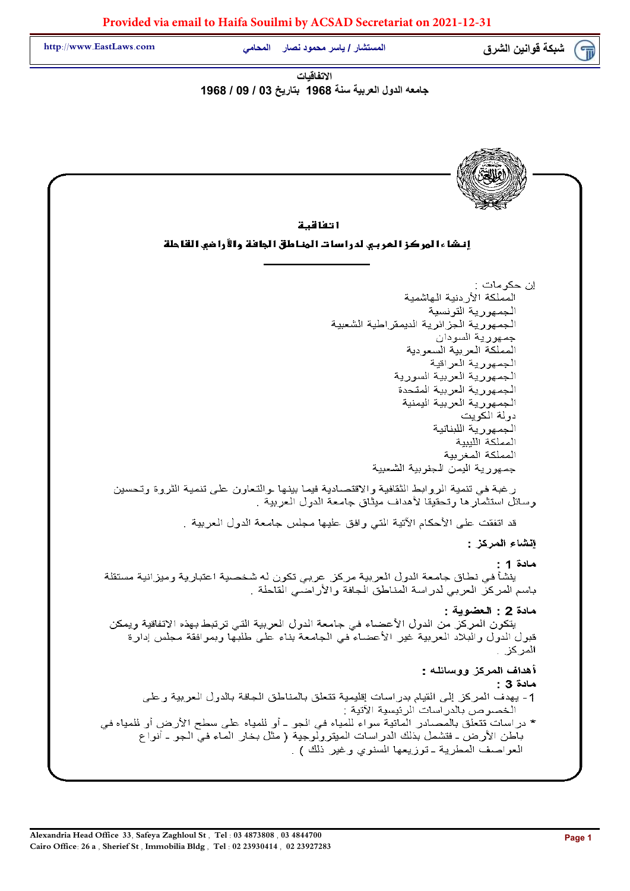شبكة قوانين الشرق المستشار / ياسر محمود نصار المحامي المحسك المستشار / ياسر محمود نصار المحامي

الاتفاقيات جامعه الدول العربية سنة 1968 بتاريخ 03 / 09 / 1968

ا تفاقية إنشاءا لمركز العربي لدراسات المناطق الجافة والأراضي القاحلة ان حکو مات ز المملكة الأر دنية الهاشمية الجمهور ية التونسية الجمهورية الجزائرية الديمقراطية الشعبية جمهورية السودان المملكة العربية السعودية الجمهورية العراقية الجمهورية العربية السورية الجمهورية العربية المتحدة الجمهورية العربية اليمنية دو لة الكوبت الجمهورية اللبنانية المملكة الليبية المملكة المغر ببة جمهورية اليمن الجنوبية الشعبية رغبة في تنمية الروابط الثقافية والاقتصادية فيما بينها والتعاون على تنمية الثروة وتحسين وسائل استثمار ها وتحقيقا لأهداف ميثاق جامعة الدول العربية . قد اتفقت على الأحكام الآتية التي وإفق عليها مجلس جامعة الدول العربية . انشاء المركز هادة 1 : ينشأ في نطاق جامعة الدول العربية مركز عربي تكون له شخصية اعتبارية وميزانية مستقلة باسم المركز العربي لدراسة المناطق الجافة والأراضي القاحلة ب مادة 2 : العضوية : يتكون المركز من الدول الأعضاء في جامعة الدول العربية التي ترتبط بهذه الاتفاقية ويمكن قبول الدول والبلاد العربية غير الأعضاء في الجامعة بناء على طلبها وبموافقة مجلس إدارة المر كز . أهداف المركز ووسائله : مادة 3 : 1- يهدف المركز إلى القيام بدراسات إقليمية تتعلق بالمناطق الجافة بالدول العربية وعلى الخصوص بالدر اسات الرئيسية الآتية : \* دراسات تتعلق بالمصادر المائية سواء للمياه في الجو \_ أو للمياه على سطح الأرض أو للمياه في باطن الأرض ـ فتشمل بذلك الدراسات الميترولُّوجية ( مثل بخار الماء في الجو ـ أنواع العواصف المطرية ـ توزيعها السنوي وغير ذلك ) .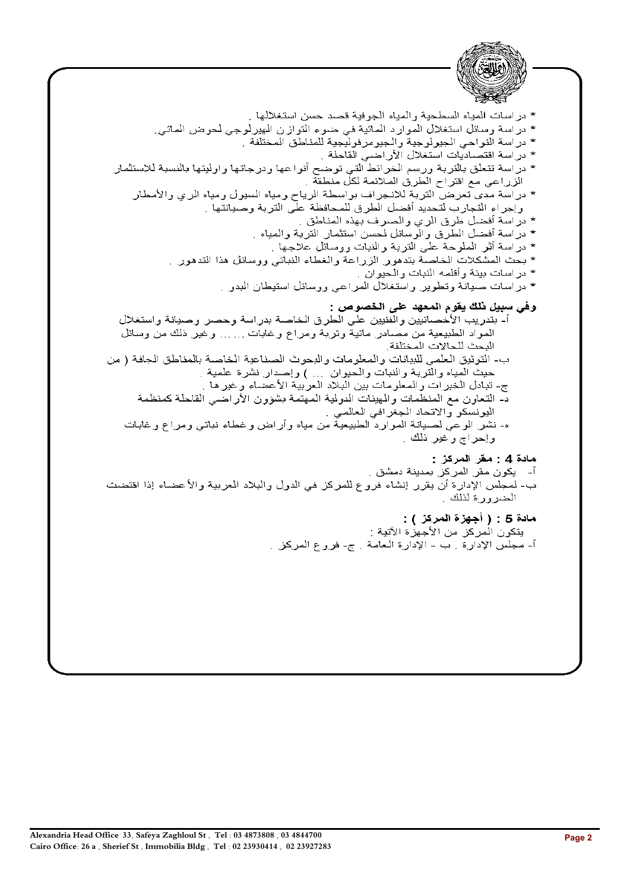2.11. 
$$
M = 1
$$

\n3.1. 
$$
M = 1
$$

\n4.1. 
$$
M = 1
$$

\n5.1. 
$$
M = 1
$$

\n6.1. 
$$
M = 1
$$

\n7. 
$$
M = 1
$$

\n8.1. 
$$
M = 1
$$

\n9. 
$$
M = 1
$$

\n10. 
$$
M = 1
$$

\n11. 
$$
M = 1
$$

\n2. 
$$
M = 1
$$

\n3. 
$$
M = 1
$$

\n4. 
$$
M = 1
$$

\n5. 
$$
M = 1
$$

\n6. 
$$
M = 1
$$

\n7. 
$$
M = 1
$$

\n8. 
$$
M = 1
$$

\n9. 
$$
M = 1
$$

\n10. 
$$
M = 1
$$

\n11. 
$$
M = 1
$$

\n12. 
$$
M = 1
$$

\n2. 
$$
M = 1
$$

\n3. 
$$
M = 1
$$

\n4. 
$$
M = 1
$$

\n5. 
$$
M = 1
$$

\n6. 
$$
M = 1
$$

\n7. 
$$
M = 1
$$

\n8. 
$$
M = 1
$$

\n9. 
$$
M = 1
$$

\n11. 
$$
M = 1
$$

\n12. 
$$
M = 1
$$

\n13. 
$$
M = 1
$$

\n2. 
$$
M = 1
$$

\n3. 
$$
M = 1
$$

\n4. 
$$
M = 1
$$

\n5. 
$$
M = 1
$$

\n6. 
$$
M = 1
$$

\n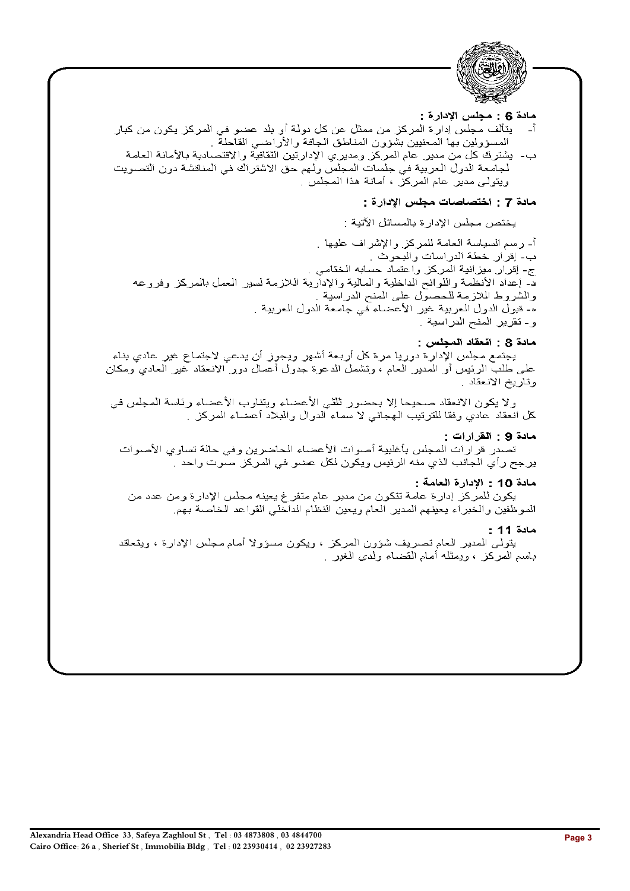

## مادة 6 : مجلس الادار ة :

- يتألف مجلس إدارة المركز من ممثل عن كل دولة أو بلد عضو في المركز يكون من كبار — <sub>—</sub> j المسؤولين بها المعنيين بشؤون المناطق الجافة والأراضي القاحلة .
- ب- يشترك كل من مدير عام المركز ومديري الإدارتين الثقافية والاقتصادية بالأمانة العامة لجامعة الدول العربية في جلسات المجلس ولهم حق الاشتراك في المناقشة دون التصويت ويتولَّى مدير "عام المركز" ، أمانة هذا المجلِّس".

# مادة 7 : اختصاصات مجلس الإدارة :

يختص مجلس الإدارة بالمسائل الآتية :

أ- رسم السياسة العامة للمركز والإشراف عليها . ب- إقرار خطة الدراسات والبحوث . ج- إقرار ميزانية المركز واعتماد حسابه الختامي . د- إعداد الأنظمة واللوائح الداخلية والمالية والإدارية الـلازمة لسير المعمل بالمركز وفروعه والشروط اللازمة للحصول على المنح الدراسية . ه- قبول الدول العربية غير الأعضاء في جامعة الدول العربية . و- تقرير المنح الدراسية .

### مادة 8 : انْعقاد المجلس :

يجتمع مجلس الإدارة دوريا مرة كل أربعة أشهر ويجوز أن يدعى لاجتماع غير عادي بناء على طلبَّ الرئيس أو المدير العام ، وتشمل الدعوة جدول أعمال دور الانعقاد تخير العادي ومكان وتاريخ الانعقاد .

ولا يكون الانعقاد صحيحا إلا بحضور ثلثي الأعضاء ويتناوب الأعضاء رئاسة المجلس في كل انعقاد عادي وفقا للترتيب الـهجائي لا سماء الدوال والبلاد أعضاء المركز .

#### مادة 9 : القرارات :

تصدر قرارات المجلس بأغلبية أصوات الأعضاء الحاضرين وفي حالة تساوى الأصوات ير جح رأي الجانب الذي منه الرئيس ويكون لكل عضو في المركز صوت واحد .

### مادة 10 : الادارة العامة :

يكون للمركز إدارة عامة تتكون من مدير عام متفر غ يعينه مجلس الإدارة ومن عدد من الموظفين والخبراء يعينهم المدير العام ويعين النظام الداخلي القواعد الخاصة بهم

#### $: 11$  مادة

يتولَّى المدير العام تصريف شؤون المركز ، ويكون مسؤولا أمام مجلس الإدارة ، ويتعاقد بـاسم المعركن ، ويمثلـه أمـام المقضـاء ولدى الـغير ب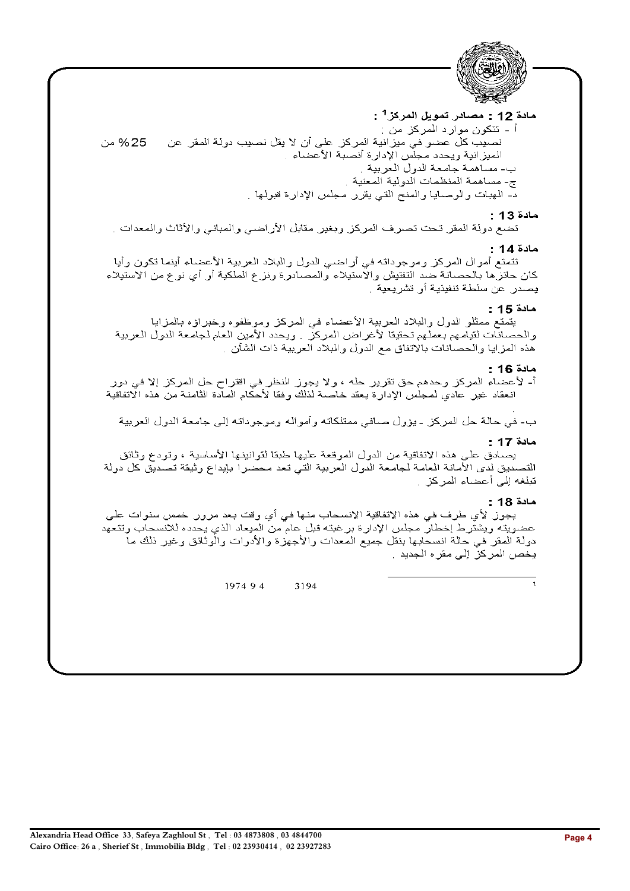

# مادة 12 : مصادر تمويل المركز<sup>1</sup> :

اً - تتكون موارد المركز من : نصيب كلٍّ عضو في ميزٍّ انية المركز على أن لا يقل نصيب دولة المقر عن 25% من الميزانية ويحدد مجلس الإدارة أنصبة الأعضاء . ب- مساهمة جامعة الدول العربية . ج- مساهمة المنظمات الدولية المعنية د- الهبات والوصايا والمنح التي يقرر مجلس الإدارة قبولها .

# $: 13$  مادة

تضع دولة المقر تحت تصرف المركز وبغير مقابل الأراضي والمباني والأثاث والمعدات إ

## مادة 14 :

تتمتع أموال المركز وموجوداته في أراضي الدول والبلاد العربية الأعضاء أينما تكون وأيا كان حائز ها بالحصانة ضد التفتيش والاستيلاء والمصادرة ونزع الملكية أو أي نوع من الاستيلاء يصدر عن سلطة تنفيذية أو تشريعية .

## مادة 15 :

يتمتع ممثلو الدول والبلاد العربية الأعضاء في المركز وموظفوه وخبراؤه بالمزايا والحصانات لقيامهم بعملهم تحقيقا لأغراض المركز ٬ ويحدد الأمين العام لجامعة الدولي العربية هذه المزايا والحصانات بالاتفاق مع الدول والبلاد العربية ذات الشأن .

# مادة 16 :

أ- لأعضاء المركز وحدهم حق تقرير حله ، ولا يجوز النظر في اقتراح حل المركز إلا في دور انعقاد غير عادي لمعبلس الإدارة يعقد خاصىة لذلك وفقا لأحكام المعادة الثامنة من هذه الاتفاقية

ب- في حالة حل المركز ـ يؤول صـافي ممتلكاته وأمواله وموجوداته إلى جامعة الدول العربية

## مادة 17 :

يصـادق على هذه الاتفاقية من الدول الموقعة عليها طبقا لقوانينها الأساسية ، وتودع وثائق التصديق لدى الأمانة العامة لجامعة الدول العربية التي تعد محضرا بإيداع وثيقة تصديق كل دولة تبلغه إلى أعضاء المركز .

### مادة 18 :

يجوز لأي طرف في هذه الاتفاقية الانسحاب منها في أي وقت بعد مرور خمس سنوات على عضويته ويشترط إخطار مجلس الإدارة برغبته قبل عام من الميعاد الذي يحدده للانسحاب وتتعهد دولة المقر في حالة انسحابها بنقل جميع المعدات والأجهزة والأدوات والوثائق وغير ذلك ما يخص المركز إلى مقر ه الجديد .

> 1974 9 4 3194

Alexandria Head Office 33, Safeya Zaghloul St. Tel: 03 4873808, 03 4844700 Cairo Office: 26 a , Sherief St , Immobilia Bldg , Tel : 02 23930414 , 02 23927283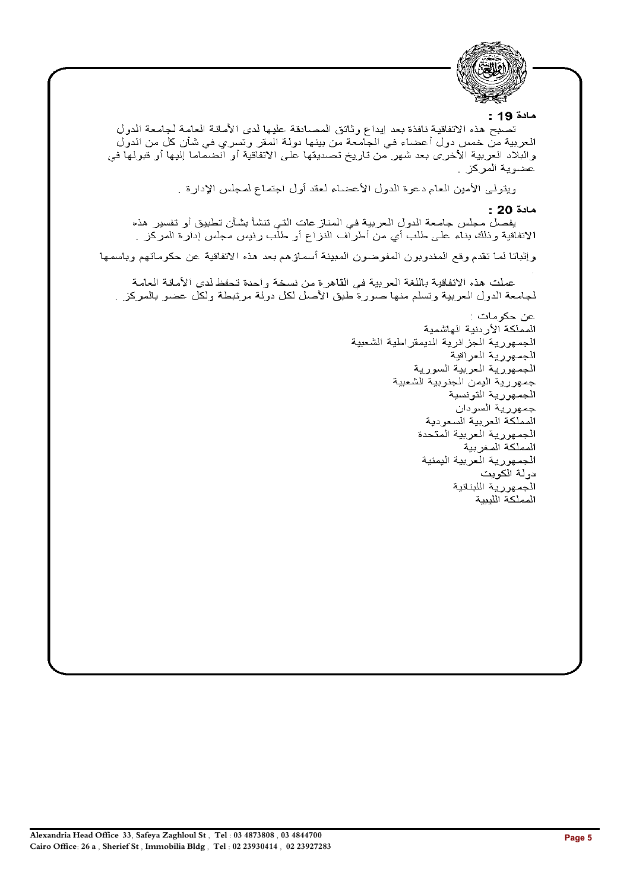

### مادة 19 :

تصبح هذه الاتفاقية نافذة بعد إيداع وثائق المصادقة عليها لدى الأمانة العامة لجامعة الدول العربية من خمس دول أعضاء في الجامعة من بينها دولة المقر وتسري في شأن كل من الدول والبلاد العربية الأخرى بعد شهر من تاريخ تصديقها على الاتفاقية أو انضماما إليها أو قبولها في عضوية المركز .

ويتولى الأمين العام دعوة الدول الأعضاء لعقد أول اجتماع لمجلس الإدارة .

### مادة 20 :

يفصل مجلس جامعة الدول العربية في المناز عات التي تنشأ بشأن تطبيق أو تفسير هذه الاتفاقية وذلك بناء على طلب أي من أطراف النزاع أو طلب رئيس مجلس إدارة المركز .

وإثباتا لما تقدم وقع المندوبون المفوضون المبينة أسماؤهم بعد هذه الاتفاقية عن حكوماتهم وباسمها

عملت هذه الاتفاقية باللغة العربية في القاهرة من نسخة واحدة تحفظ لدى الأمانة العامة لجامعة الدول العربية وتسلم منها صورة طبق الأصل لكل دولة مرتبطة ولكل عضو بالمركز ب

> عن حكومات : المملكة الأردنية الهاشمية الجمهورية الجزائرية الديمقراطية الشعبية الجمهورية العراقية الجمهورية العربية السورية جمهورية اليمن الجنوبية الشعبية الجمهورية التونسية جمهورية السودان المملكة العربية السعودية الجمهورية العربية المتحدة المملكة المغربية الجمهورية العربية اليمنية دولة الكويت الجمهورية اللبنانية المملكة اللبيبة